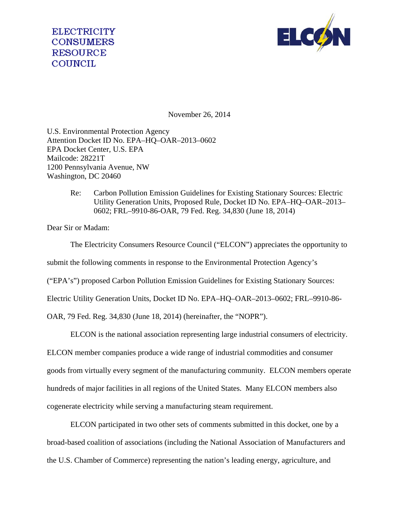

November 26, 2014

U.S. Environmental Protection Agency Attention Docket ID No. EPA–HQ–OAR–2013–0602 EPA Docket Center, U.S. EPA Mailcode: 28221T 1200 Pennsylvania Avenue, NW Washington, DC 20460

> Re: Carbon Pollution Emission Guidelines for Existing Stationary Sources: Electric Utility Generation Units, Proposed Rule, Docket ID No. EPA–HQ–OAR–2013– 0602; FRL–9910-86-OAR, 79 Fed. Reg. 34,830 (June 18, 2014)

Dear Sir or Madam:

The Electricity Consumers Resource Council ("ELCON") appreciates the opportunity to submit the following comments in response to the Environmental Protection Agency's ("EPA's") proposed Carbon Pollution Emission Guidelines for Existing Stationary Sources: Electric Utility Generation Units, Docket ID No. EPA–HQ–OAR–2013–0602; FRL–9910-86-

OAR, 79 Fed. Reg. 34,830 (June 18, 2014) (hereinafter, the "NOPR").

ELCON is the national association representing large industrial consumers of electricity. ELCON member companies produce a wide range of industrial commodities and consumer goods from virtually every segment of the manufacturing community. ELCON members operate hundreds of major facilities in all regions of the United States. Many ELCON members also cogenerate electricity while serving a manufacturing steam requirement.

ELCON participated in two other sets of comments submitted in this docket, one by a broad-based coalition of associations (including the National Association of Manufacturers and the U.S. Chamber of Commerce) representing the nation's leading energy, agriculture, and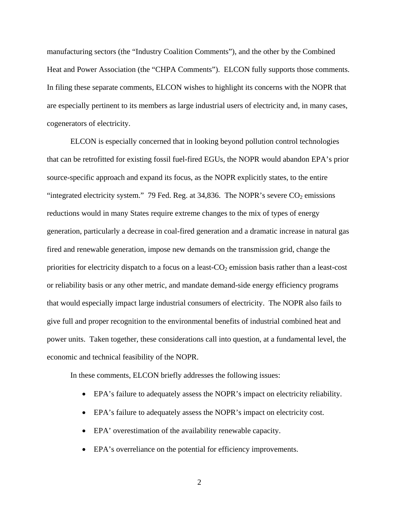manufacturing sectors (the "Industry Coalition Comments"), and the other by the Combined Heat and Power Association (the "CHPA Comments"). ELCON fully supports those comments. In filing these separate comments, ELCON wishes to highlight its concerns with the NOPR that are especially pertinent to its members as large industrial users of electricity and, in many cases, cogenerators of electricity.

ELCON is especially concerned that in looking beyond pollution control technologies that can be retrofitted for existing fossil fuel-fired EGUs, the NOPR would abandon EPA's prior source-specific approach and expand its focus, as the NOPR explicitly states, to the entire "integrated electricity system." 79 Fed. Reg. at 34,836. The NOPR's severe  $CO<sub>2</sub>$  emissions reductions would in many States require extreme changes to the mix of types of energy generation, particularly a decrease in coal-fired generation and a dramatic increase in natural gas fired and renewable generation, impose new demands on the transmission grid, change the priorities for electricity dispatch to a focus on a least- $CO<sub>2</sub>$  emission basis rather than a least-cost or reliability basis or any other metric, and mandate demand-side energy efficiency programs that would especially impact large industrial consumers of electricity. The NOPR also fails to give full and proper recognition to the environmental benefits of industrial combined heat and power units. Taken together, these considerations call into question, at a fundamental level, the economic and technical feasibility of the NOPR.

In these comments, ELCON briefly addresses the following issues:

- EPA's failure to adequately assess the NOPR's impact on electricity reliability.
- EPA's failure to adequately assess the NOPR's impact on electricity cost.
- EPA' overestimation of the availability renewable capacity.
- EPA's overreliance on the potential for efficiency improvements.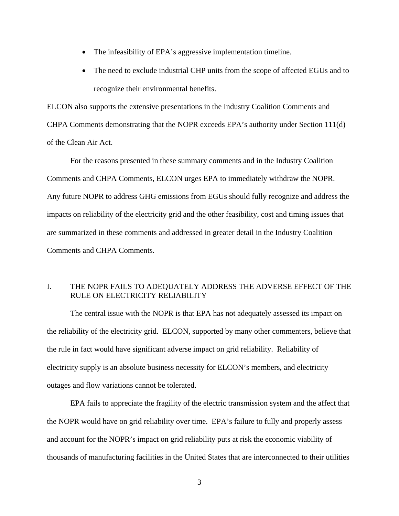- The infeasibility of EPA's aggressive implementation timeline.
- The need to exclude industrial CHP units from the scope of affected EGUs and to recognize their environmental benefits.

ELCON also supports the extensive presentations in the Industry Coalition Comments and CHPA Comments demonstrating that the NOPR exceeds EPA's authority under Section 111(d) of the Clean Air Act.

 For the reasons presented in these summary comments and in the Industry Coalition Comments and CHPA Comments, ELCON urges EPA to immediately withdraw the NOPR. Any future NOPR to address GHG emissions from EGUs should fully recognize and address the impacts on reliability of the electricity grid and the other feasibility, cost and timing issues that are summarized in these comments and addressed in greater detail in the Industry Coalition Comments and CHPA Comments.

### I. THE NOPR FAILS TO ADEQUATELY ADDRESS THE ADVERSE EFFECT OF THE RULE ON ELECTRICITY RELIABILITY

The central issue with the NOPR is that EPA has not adequately assessed its impact on the reliability of the electricity grid. ELCON, supported by many other commenters, believe that the rule in fact would have significant adverse impact on grid reliability. Reliability of electricity supply is an absolute business necessity for ELCON's members, and electricity outages and flow variations cannot be tolerated.

EPA fails to appreciate the fragility of the electric transmission system and the affect that the NOPR would have on grid reliability over time. EPA's failure to fully and properly assess and account for the NOPR's impact on grid reliability puts at risk the economic viability of thousands of manufacturing facilities in the United States that are interconnected to their utilities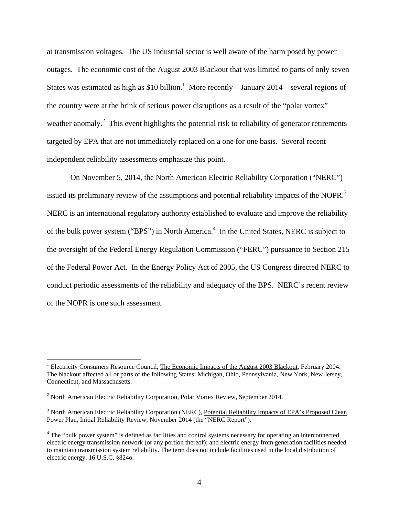at transmission voltages. The US industrial sector is well aware of the harm posed by power outages. The economic cost of the August 2003 Blackout that was limited to parts of only seven States was estimated as high as \$10 billion.<sup>1</sup> More recently—January 2014—several regions of the country were at the brink of serious power disruptions as a result of the "polar vortex" weather anomaly.<sup>2</sup> This event highlights the potential risk to reliability of generator retirements targeted by EPA that are not immediately replaced on a one for one basis. Several recent independent reliability assessments emphasize this point.

On November 5, 2014, the North American Electric Reliability Corporation ("NERC") issued its preliminary review of the assumptions and potential reliability impacts of the NOPR.<sup>3</sup> NERC is an international regulatory authority established to evaluate and improve the reliability of the bulk power system ("BPS") in North America.<sup>4</sup> In the United States, NERC is subject to the oversight of the Federal Energy Regulation Commission ("FERC") pursuance to Section 215 of the Federal Power Act. In the Energy Policy Act of 2005, the US Congress directed NERC to conduct periodic assessments of the reliability and adequacy of the BPS. NERC's recent review of the NOPR is one such assessment.

<sup>&</sup>lt;sup>1</sup> Electricity Consumers Resource Council, The Economic Impacts of the August 2003 Blackout, February 2004. The blackout affected all or parts of the following States; Michigan, Ohio, Pennsylvania, New York, New Jersey, Connecticut, and Massachusetts.

<sup>&</sup>lt;sup>2</sup> North American Electric Reliability Corporation, Polar Vortex Review, September 2014.

<sup>&</sup>lt;sup>3</sup> North American Electric Reliability Corporation (NERC), Potential Reliability Impacts of EPA's Proposed Clean Power Plan, Initial Reliability Review, November 2014 (the "NERC Report").

<sup>&</sup>lt;sup>4</sup> The "bulk power system" is defined as facilities and control systems necessary for operating an interconnected electric energy transmission network (or any portion thereof); and electric energy from generation facilities needed to maintain transmission system reliability. The term does not include facilities used in the local distribution of electric energy. 16 U.S.C. §824o.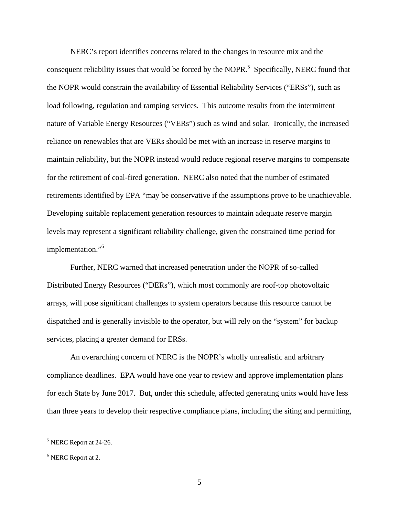NERC's report identifies concerns related to the changes in resource mix and the consequent reliability issues that would be forced by the NOPR.<sup>5</sup> Specifically, NERC found that the NOPR would constrain the availability of Essential Reliability Services ("ERSs"), such as load following, regulation and ramping services. This outcome results from the intermittent nature of Variable Energy Resources ("VERs") such as wind and solar. Ironically, the increased reliance on renewables that are VERs should be met with an increase in reserve margins to maintain reliability, but the NOPR instead would reduce regional reserve margins to compensate for the retirement of coal-fired generation. NERC also noted that the number of estimated retirements identified by EPA "may be conservative if the assumptions prove to be unachievable. Developing suitable replacement generation resources to maintain adequate reserve margin levels may represent a significant reliability challenge, given the constrained time period for implementation."<sup>6</sup>

Further, NERC warned that increased penetration under the NOPR of so-called Distributed Energy Resources ("DERs"), which most commonly are roof-top photovoltaic arrays, will pose significant challenges to system operators because this resource cannot be dispatched and is generally invisible to the operator, but will rely on the "system" for backup services, placing a greater demand for ERSs.

An overarching concern of NERC is the NOPR's wholly unrealistic and arbitrary compliance deadlines. EPA would have one year to review and approve implementation plans for each State by June 2017. But, under this schedule, affected generating units would have less than three years to develop their respective compliance plans, including the siting and permitting,

<sup>&</sup>lt;sup>5</sup> NERC Report at 24-26.

<sup>&</sup>lt;sup>6</sup> NERC Report at 2.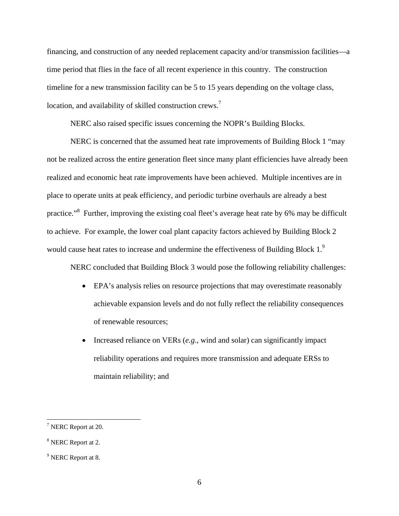financing, and construction of any needed replacement capacity and/or transmission facilities—a time period that flies in the face of all recent experience in this country. The construction timeline for a new transmission facility can be 5 to 15 years depending on the voltage class, location, and availability of skilled construction crews.<sup>7</sup>

NERC also raised specific issues concerning the NOPR's Building Blocks.

NERC is concerned that the assumed heat rate improvements of Building Block 1 "may not be realized across the entire generation fleet since many plant efficiencies have already been realized and economic heat rate improvements have been achieved. Multiple incentives are in place to operate units at peak efficiency, and periodic turbine overhauls are already a best practice."<sup>8</sup> Further, improving the existing coal fleet's average heat rate by 6% may be difficult to achieve. For example, the lower coal plant capacity factors achieved by Building Block 2 would cause heat rates to increase and undermine the effectiveness of Building Block  $1<sup>9</sup>$ 

NERC concluded that Building Block 3 would pose the following reliability challenges:

- EPA's analysis relies on resource projections that may overestimate reasonably achievable expansion levels and do not fully reflect the reliability consequences of renewable resources;
- Increased reliance on VERs (*e.g*., wind and solar) can significantly impact reliability operations and requires more transmission and adequate ERSs to maintain reliability; and

<sup>&</sup>lt;sup>7</sup> NERC Report at 20.

<sup>&</sup>lt;sup>8</sup> NERC Report at 2.

<sup>&</sup>lt;sup>9</sup> NERC Report at 8.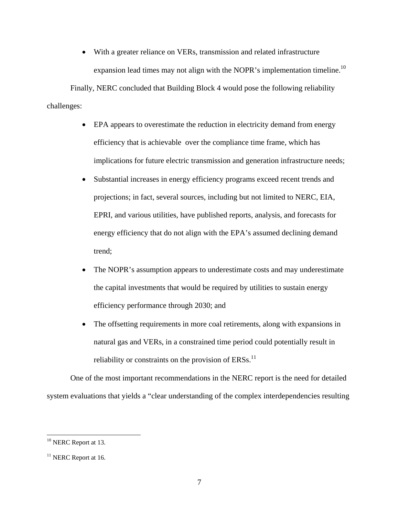With a greater reliance on VERs, transmission and related infrastructure expansion lead times may not align with the NOPR's implementation timeline.<sup>10</sup>

Finally, NERC concluded that Building Block 4 would pose the following reliability challenges:

- EPA appears to overestimate the reduction in electricity demand from energy efficiency that is achievable over the compliance time frame, which has implications for future electric transmission and generation infrastructure needs;
- Substantial increases in energy efficiency programs exceed recent trends and projections; in fact, several sources, including but not limited to NERC, EIA, EPRI, and various utilities, have published reports, analysis, and forecasts for energy efficiency that do not align with the EPA's assumed declining demand trend;
- The NOPR's assumption appears to underestimate costs and may underestimate the capital investments that would be required by utilities to sustain energy efficiency performance through 2030; and
- The offsetting requirements in more coal retirements, along with expansions in natural gas and VERs, in a constrained time period could potentially result in reliability or constraints on the provision of  $ERSS$ <sup>11</sup>

One of the most important recommendations in the NERC report is the need for detailed system evaluations that yields a "clear understanding of the complex interdependencies resulting

<sup>&</sup>lt;sup>10</sup> NERC Report at 13.

 $11$  NERC Report at 16.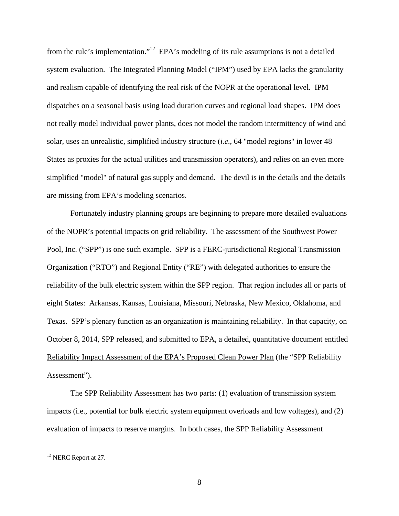from the rule's implementation."12 EPA's modeling of its rule assumptions is not a detailed system evaluation. The Integrated Planning Model ("IPM") used by EPA lacks the granularity and realism capable of identifying the real risk of the NOPR at the operational level. IPM dispatches on a seasonal basis using load duration curves and regional load shapes. IPM does not really model individual power plants, does not model the random intermittency of wind and solar, uses an unrealistic, simplified industry structure (*i.e*., 64 "model regions" in lower 48 States as proxies for the actual utilities and transmission operators), and relies on an even more simplified "model" of natural gas supply and demand. The devil is in the details and the details are missing from EPA's modeling scenarios.

Fortunately industry planning groups are beginning to prepare more detailed evaluations of the NOPR's potential impacts on grid reliability. The assessment of the Southwest Power Pool, Inc. ("SPP") is one such example. SPP is a FERC-jurisdictional Regional Transmission Organization ("RTO") and Regional Entity ("RE") with delegated authorities to ensure the reliability of the bulk electric system within the SPP region. That region includes all or parts of eight States: Arkansas, Kansas, Louisiana, Missouri, Nebraska, New Mexico, Oklahoma, and Texas. SPP's plenary function as an organization is maintaining reliability. In that capacity, on October 8, 2014, SPP released, and submitted to EPA, a detailed, quantitative document entitled Reliability Impact Assessment of the EPA's Proposed Clean Power Plan (the "SPP Reliability Assessment").

The SPP Reliability Assessment has two parts: (1) evaluation of transmission system impacts (i.e., potential for bulk electric system equipment overloads and low voltages), and (2) evaluation of impacts to reserve margins. In both cases, the SPP Reliability Assessment

<sup>&</sup>lt;sup>12</sup> NERC Report at 27.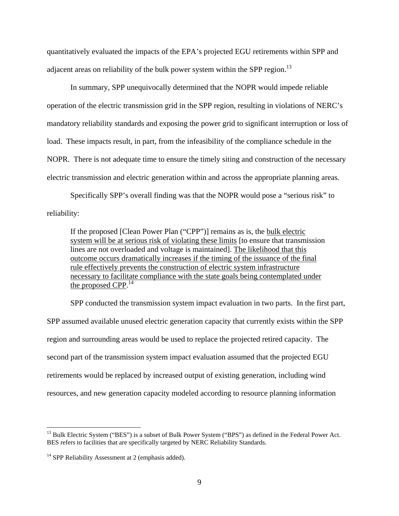quantitatively evaluated the impacts of the EPA's projected EGU retirements within SPP and adjacent areas on reliability of the bulk power system within the SPP region.<sup>13</sup>

In summary, SPP unequivocally determined that the NOPR would impede reliable operation of the electric transmission grid in the SPP region, resulting in violations of NERC's mandatory reliability standards and exposing the power grid to significant interruption or loss of load. These impacts result, in part, from the infeasibility of the compliance schedule in the NOPR. There is not adequate time to ensure the timely siting and construction of the necessary electric transmission and electric generation within and across the appropriate planning areas.

Specifically SPP's overall finding was that the NOPR would pose a "serious risk" to reliability:

If the proposed [Clean Power Plan ("CPP")] remains as is, the bulk electric system will be at serious risk of violating these limits [to ensure that transmission lines are not overloaded and voltage is maintained]. The likelihood that this outcome occurs dramatically increases if the timing of the issuance of the final rule effectively prevents the construction of electric system infrastructure necessary to facilitate compliance with the state goals being contemplated under the proposed CPP. $^{14}$ 

SPP conducted the transmission system impact evaluation in two parts. In the first part, SPP assumed available unused electric generation capacity that currently exists within the SPP region and surrounding areas would be used to replace the projected retired capacity. The second part of the transmission system impact evaluation assumed that the projected EGU retirements would be replaced by increased output of existing generation, including wind resources, and new generation capacity modeled according to resource planning information

<sup>&</sup>lt;sup>13</sup> Bulk Electric System ("BES") is a subset of Bulk Power System ("BPS") as defined in the Federal Power Act. BES refers to facilities that are specifically targeted by NERC Reliability Standards.

 $14$  SPP Reliability Assessment at 2 (emphasis added).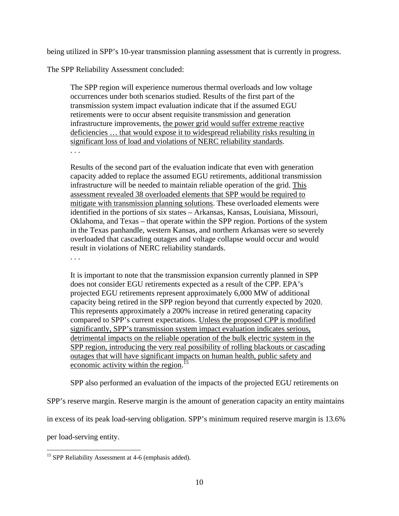being utilized in SPP's 10-year transmission planning assessment that is currently in progress.

The SPP Reliability Assessment concluded:

The SPP region will experience numerous thermal overloads and low voltage occurrences under both scenarios studied. Results of the first part of the transmission system impact evaluation indicate that if the assumed EGU retirements were to occur absent requisite transmission and generation infrastructure improvements, the power grid would suffer extreme reactive deficiencies … that would expose it to widespread reliability risks resulting in significant loss of load and violations of NERC reliability standards. . . .

Results of the second part of the evaluation indicate that even with generation capacity added to replace the assumed EGU retirements, additional transmission infrastructure will be needed to maintain reliable operation of the grid. This assessment revealed 38 overloaded elements that SPP would be required to mitigate with transmission planning solutions. These overloaded elements were identified in the portions of six states – Arkansas, Kansas, Louisiana, Missouri, Oklahoma, and Texas – that operate within the SPP region. Portions of the system in the Texas panhandle, western Kansas, and northern Arkansas were so severely overloaded that cascading outages and voltage collapse would occur and would result in violations of NERC reliability standards.

. . .

It is important to note that the transmission expansion currently planned in SPP does not consider EGU retirements expected as a result of the CPP. EPA's projected EGU retirements represent approximately 6,000 MW of additional capacity being retired in the SPP region beyond that currently expected by 2020. This represents approximately a 200% increase in retired generating capacity compared to SPP's current expectations. Unless the proposed CPP is modified significantly, SPP's transmission system impact evaluation indicates serious, detrimental impacts on the reliable operation of the bulk electric system in the SPP region, introducing the very real possibility of rolling blackouts or cascading outages that will have significant impacts on human health, public safety and economic activity within the region.<sup>15</sup>

SPP also performed an evaluation of the impacts of the projected EGU retirements on

SPP's reserve margin. Reserve margin is the amount of generation capacity an entity maintains

in excess of its peak load-serving obligation. SPP's minimum required reserve margin is 13.6%

per load-serving entity.

 $\overline{a}$  $15$  SPP Reliability Assessment at 4-6 (emphasis added).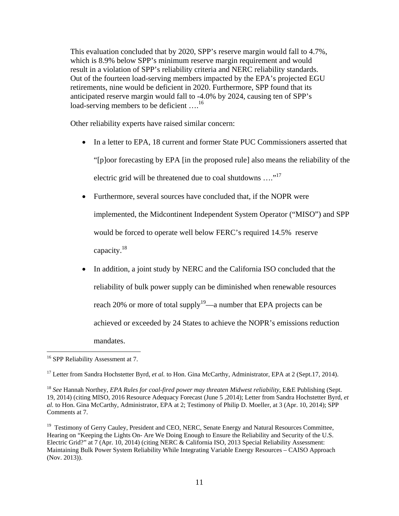This evaluation concluded that by 2020, SPP's reserve margin would fall to 4.7%, which is 8.9% below SPP's minimum reserve margin requirement and would result in a violation of SPP's reliability criteria and NERC reliability standards. Out of the fourteen load-serving members impacted by the EPA's projected EGU retirements, nine would be deficient in 2020. Furthermore, SPP found that its anticipated reserve margin would fall to -4.0% by 2024, causing ten of SPP's load-serving members to be deficient ....<sup>16</sup>

Other reliability experts have raised similar concern:

- In a letter to EPA, 18 current and former State PUC Commissioners asserted that "[p]oor forecasting by EPA [in the proposed rule] also means the reliability of the electric grid will be threatened due to coal shutdowns  $\dots$ <sup>17</sup>
- Furthermore, several sources have concluded that, if the NOPR were implemented, the Midcontinent Independent System Operator ("MISO") and SPP would be forced to operate well below FERC's required 14.5% reserve capacity.18
- In addition, a joint study by NERC and the California ISO concluded that the reliability of bulk power supply can be diminished when renewable resources reach 20% or more of total supply<sup>19</sup>—a number that EPA projects can be achieved or exceeded by 24 States to achieve the NOPR's emissions reduction mandates.

<sup>&</sup>lt;sup>16</sup> SPP Reliability Assessment at 7.

<sup>&</sup>lt;sup>17</sup> Letter from Sandra Hochstetter Byrd, *et al.* to Hon. Gina McCarthy, Administrator, EPA at 2 (Sept.17, 2014).

<sup>18</sup> *See* Hannah Northey, *EPA Rules for coal-fired power may threaten Midwest reliability,* E&E Publishing (Sept. 19, 2014) (citing MISO, 2016 Resource Adequacy Forecast (June 5 ,2014); Letter from Sandra Hochstetter Byrd, *et al.* to Hon. Gina McCarthy, Administrator, EPA at 2; Testimony of Philip D. Moeller, at 3 (Apr. 10, 2014); SPP Comments at 7.

<sup>&</sup>lt;sup>19</sup> Testimony of Gerry Cauley, President and CEO, NERC, Senate Energy and Natural Resources Committee, Hearing on "Keeping the Lights On- Are We Doing Enough to Ensure the Reliability and Security of the U.S. Electric Grid?" at 7 (Apr. 10, 2014) (citing NERC & California ISO, 2013 Special Reliability Assessment: Maintaining Bulk Power System Reliability While Integrating Variable Energy Resources – CAISO Approach (Nov. 2013)).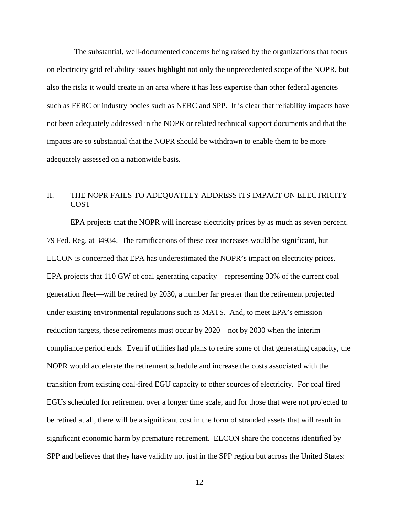The substantial, well-documented concerns being raised by the organizations that focus on electricity grid reliability issues highlight not only the unprecedented scope of the NOPR, but also the risks it would create in an area where it has less expertise than other federal agencies such as FERC or industry bodies such as NERC and SPP. It is clear that reliability impacts have not been adequately addressed in the NOPR or related technical support documents and that the impacts are so substantial that the NOPR should be withdrawn to enable them to be more adequately assessed on a nationwide basis.

# II. THE NOPR FAILS TO ADEQUATELY ADDRESS ITS IMPACT ON ELECTRICITY **COST**

EPA projects that the NOPR will increase electricity prices by as much as seven percent. 79 Fed. Reg. at 34934. The ramifications of these cost increases would be significant, but ELCON is concerned that EPA has underestimated the NOPR's impact on electricity prices. EPA projects that 110 GW of coal generating capacity—representing 33% of the current coal generation fleet—will be retired by 2030, a number far greater than the retirement projected under existing environmental regulations such as MATS. And, to meet EPA's emission reduction targets, these retirements must occur by 2020—not by 2030 when the interim compliance period ends. Even if utilities had plans to retire some of that generating capacity, the NOPR would accelerate the retirement schedule and increase the costs associated with the transition from existing coal-fired EGU capacity to other sources of electricity. For coal fired EGUs scheduled for retirement over a longer time scale, and for those that were not projected to be retired at all, there will be a significant cost in the form of stranded assets that will result in significant economic harm by premature retirement. ELCON share the concerns identified by SPP and believes that they have validity not just in the SPP region but across the United States: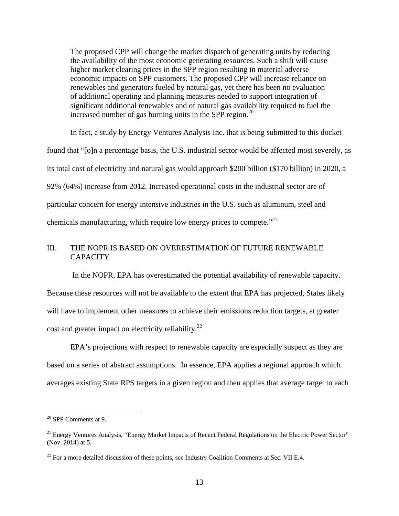The proposed CPP will change the market dispatch of generating units by reducing the availability of the most economic generating resources. Such a shift will cause higher market clearing prices in the SPP region resulting in material adverse economic impacts on SPP customers. The proposed CPP will increase reliance on renewables and generators fueled by natural gas, yet there has been no evaluation of additional operating and planning measures needed to support integration of significant additional renewables and of natural gas availability required to fuel the increased number of gas burning units in the SPP region. $^{20}$ 

In fact, a study by Energy Ventures Analysis Inc. that is being submitted to this docket found that "[o]n a percentage basis, the U.S. industrial sector would be affected most severely, as its total cost of electricity and natural gas would approach \$200 billion (\$170 billion) in 2020, a 92% (64%) increase from 2012. Increased operational costs in the industrial sector are of particular concern for energy intensive industries in the U.S. such as aluminum, steel and chemicals manufacturing, which require low energy prices to compete. $^{21}$ 

## III. THE NOPR IS BASED ON OVERESTIMATION OF FUTURE RENEWABLE **CAPACITY**

 In the NOPR, EPA has overestimated the potential availability of renewable capacity. Because these resources will not be available to the extent that EPA has projected, States likely will have to implement other measures to achieve their emissions reduction targets, at greater cost and greater impact on electricity reliability.<sup>22</sup>

EPA's projections with respect to renewable capacity are especially suspect as they are based on a series of abstract assumptions. In essence, EPA applies a regional approach which averages existing State RPS targets in a given region and then applies that average target to each

<sup>20</sup> SPP Comments at 9.

 $21$  Energy Ventures Analysis, "Energy Market Impacts of Recent Federal Regulations on the Electric Power Sector" (Nov. 2014) at 5.

 $22$  For a more detailed discussion of these points, see Industry Coalition Comments at Sec. VII.E.4.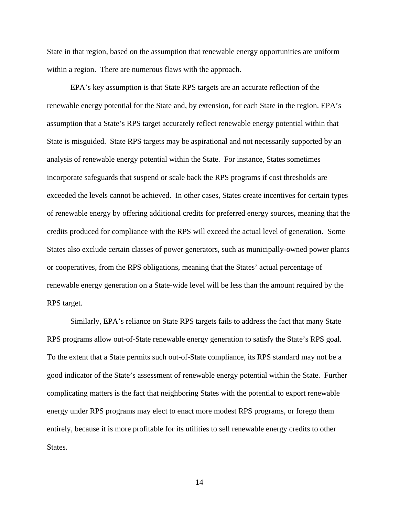State in that region, based on the assumption that renewable energy opportunities are uniform within a region. There are numerous flaws with the approach.

EPA's key assumption is that State RPS targets are an accurate reflection of the renewable energy potential for the State and, by extension, for each State in the region. EPA's assumption that a State's RPS target accurately reflect renewable energy potential within that State is misguided. State RPS targets may be aspirational and not necessarily supported by an analysis of renewable energy potential within the State. For instance, States sometimes incorporate safeguards that suspend or scale back the RPS programs if cost thresholds are exceeded the levels cannot be achieved. In other cases, States create incentives for certain types of renewable energy by offering additional credits for preferred energy sources, meaning that the credits produced for compliance with the RPS will exceed the actual level of generation. Some States also exclude certain classes of power generators, such as municipally-owned power plants or cooperatives, from the RPS obligations, meaning that the States' actual percentage of renewable energy generation on a State-wide level will be less than the amount required by the RPS target.

Similarly, EPA's reliance on State RPS targets fails to address the fact that many State RPS programs allow out-of-State renewable energy generation to satisfy the State's RPS goal. To the extent that a State permits such out-of-State compliance, its RPS standard may not be a good indicator of the State's assessment of renewable energy potential within the State. Further complicating matters is the fact that neighboring States with the potential to export renewable energy under RPS programs may elect to enact more modest RPS programs, or forego them entirely, because it is more profitable for its utilities to sell renewable energy credits to other States.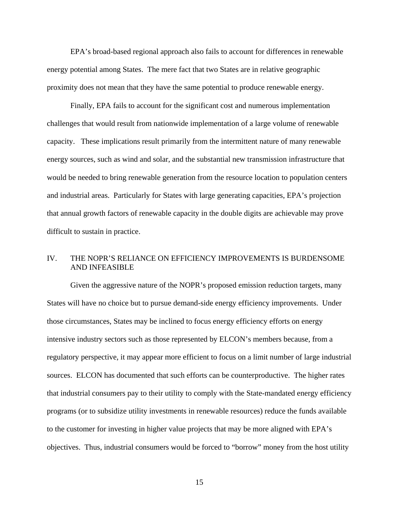EPA's broad-based regional approach also fails to account for differences in renewable energy potential among States. The mere fact that two States are in relative geographic proximity does not mean that they have the same potential to produce renewable energy.

Finally, EPA fails to account for the significant cost and numerous implementation challenges that would result from nationwide implementation of a large volume of renewable capacity. These implications result primarily from the intermittent nature of many renewable energy sources, such as wind and solar, and the substantial new transmission infrastructure that would be needed to bring renewable generation from the resource location to population centers and industrial areas. Particularly for States with large generating capacities, EPA's projection that annual growth factors of renewable capacity in the double digits are achievable may prove difficult to sustain in practice.

### IV. THE NOPR'S RELIANCE ON EFFICIENCY IMPROVEMENTS IS BURDENSOME AND INFEASIBLE

Given the aggressive nature of the NOPR's proposed emission reduction targets, many States will have no choice but to pursue demand-side energy efficiency improvements. Under those circumstances, States may be inclined to focus energy efficiency efforts on energy intensive industry sectors such as those represented by ELCON's members because, from a regulatory perspective, it may appear more efficient to focus on a limit number of large industrial sources. ELCON has documented that such efforts can be counterproductive. The higher rates that industrial consumers pay to their utility to comply with the State-mandated energy efficiency programs (or to subsidize utility investments in renewable resources) reduce the funds available to the customer for investing in higher value projects that may be more aligned with EPA's objectives. Thus, industrial consumers would be forced to "borrow" money from the host utility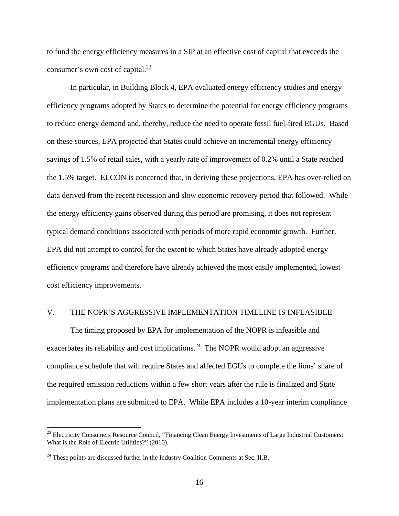to fund the energy efficiency measures in a SIP at an effective cost of capital that exceeds the consumer's own cost of capital.<sup>23</sup>

In particular, in Building Block 4, EPA evaluated energy efficiency studies and energy efficiency programs adopted by States to determine the potential for energy efficiency programs to reduce energy demand and, thereby, reduce the need to operate fossil fuel-fired EGUs. Based on these sources, EPA projected that States could achieve an incremental energy efficiency savings of 1.5% of retail sales, with a yearly rate of improvement of 0.2% until a State reached the 1.5% target. ELCON is concerned that, in deriving these projections, EPA has over-relied on data derived from the recent recession and slow economic recovery period that followed. While the energy efficiency gains observed during this period are promising, it does not represent typical demand conditions associated with periods of more rapid economic growth. Further, EPA did not attempt to control for the extent to which States have already adopted energy efficiency programs and therefore have already achieved the most easily implemented, lowestcost efficiency improvements.

#### V. THE NOPR'S AGGRESSIVE IMPLEMENTATION TIMELINE IS INFEASIBLE

The timing proposed by EPA for implementation of the NOPR is infeasible and exacerbates its reliability and cost implications.<sup>24</sup> The NOPR would adopt an aggressive compliance schedule that will require States and affected EGUs to complete the lions' share of the required emission reductions within a few short years after the rule is finalized and State implementation plans are submitted to EPA. While EPA includes a 10-year interim compliance

<sup>&</sup>lt;sup>23</sup> Electricity Consumers Resource Council, "Financing Clean Energy Investments of Large Industrial Customers: What is the Role of Electric Utilities?" (2010).

 $24$  These points are discussed further in the Industry Coalition Comments at Sec. II.B.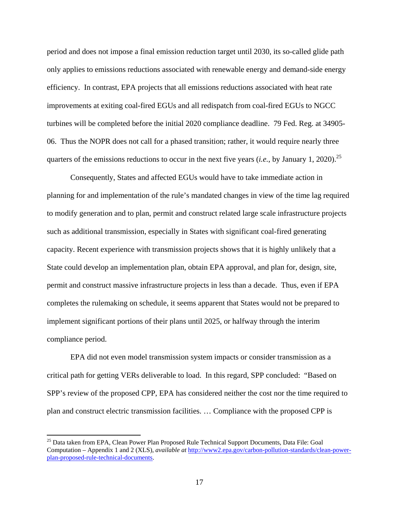period and does not impose a final emission reduction target until 2030, its so-called glide path only applies to emissions reductions associated with renewable energy and demand-side energy efficiency. In contrast, EPA projects that all emissions reductions associated with heat rate improvements at exiting coal-fired EGUs and all redispatch from coal-fired EGUs to NGCC turbines will be completed before the initial 2020 compliance deadline. 79 Fed. Reg. at 34905- 06. Thus the NOPR does not call for a phased transition; rather, it would require nearly three quarters of the emissions reductions to occur in the next five years (*i.e.*, by January 1, 2020).<sup>25</sup>

Consequently, States and affected EGUs would have to take immediate action in planning for and implementation of the rule's mandated changes in view of the time lag required to modify generation and to plan, permit and construct related large scale infrastructure projects such as additional transmission, especially in States with significant coal-fired generating capacity. Recent experience with transmission projects shows that it is highly unlikely that a State could develop an implementation plan, obtain EPA approval, and plan for, design, site, permit and construct massive infrastructure projects in less than a decade. Thus, even if EPA completes the rulemaking on schedule, it seems apparent that States would not be prepared to implement significant portions of their plans until 2025, or halfway through the interim compliance period.

EPA did not even model transmission system impacts or consider transmission as a critical path for getting VERs deliverable to load. In this regard, SPP concluded: "Based on SPP's review of the proposed CPP, EPA has considered neither the cost nor the time required to plan and construct electric transmission facilities. … Compliance with the proposed CPP is

<sup>&</sup>lt;sup>25</sup> Data taken from EPA, Clean Power Plan Proposed Rule Technical Support Documents, Data File: Goal Computation – Appendix 1 and 2 (XLS), *available at* http://www2.epa.gov/carbon-pollution-standards/clean-powerplan-proposed-rule-technical-documents.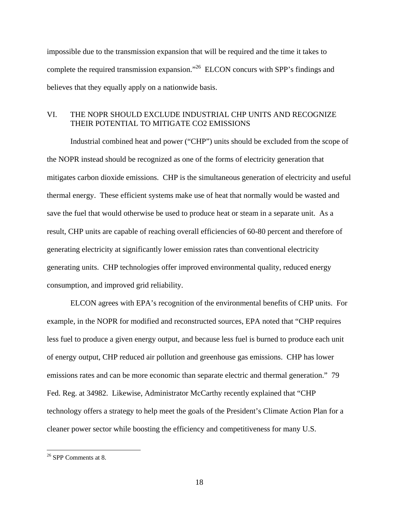impossible due to the transmission expansion that will be required and the time it takes to complete the required transmission expansion."26 ELCON concurs with SPP's findings and believes that they equally apply on a nationwide basis.

#### VI. THE NOPR SHOULD EXCLUDE INDUSTRIAL CHP UNITS AND RECOGNIZE THEIR POTENTIAL TO MITIGATE CO2 EMISSIONS

Industrial combined heat and power ("CHP") units should be excluded from the scope of the NOPR instead should be recognized as one of the forms of electricity generation that mitigates carbon dioxide emissions. CHP is the simultaneous generation of electricity and useful thermal energy. These efficient systems make use of heat that normally would be wasted and save the fuel that would otherwise be used to produce heat or steam in a separate unit. As a result, CHP units are capable of reaching overall efficiencies of 60-80 percent and therefore of generating electricity at significantly lower emission rates than conventional electricity generating units. CHP technologies offer improved environmental quality, reduced energy consumption, and improved grid reliability.

ELCON agrees with EPA's recognition of the environmental benefits of CHP units. For example, in the NOPR for modified and reconstructed sources, EPA noted that "CHP requires less fuel to produce a given energy output, and because less fuel is burned to produce each unit of energy output, CHP reduced air pollution and greenhouse gas emissions. CHP has lower emissions rates and can be more economic than separate electric and thermal generation." 79 Fed. Reg. at 34982. Likewise, Administrator McCarthy recently explained that "CHP technology offers a strategy to help meet the goals of the President's Climate Action Plan for a cleaner power sector while boosting the efficiency and competitiveness for many U.S.

<sup>&</sup>lt;sup>26</sup> SPP Comments at 8.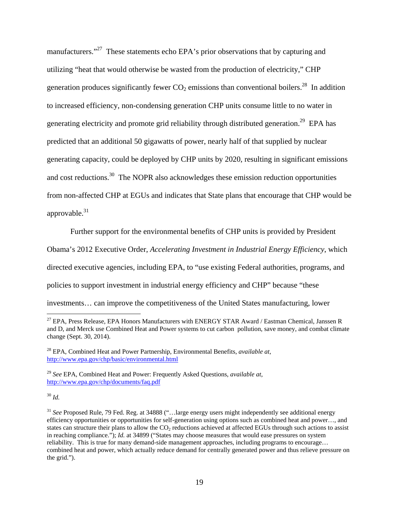manufacturers."<sup>27</sup> These statements echo EPA's prior observations that by capturing and utilizing "heat that would otherwise be wasted from the production of electricity," CHP generation produces significantly fewer  $CO<sub>2</sub>$  emissions than conventional boilers.<sup>28</sup> In addition to increased efficiency, non-condensing generation CHP units consume little to no water in generating electricity and promote grid reliability through distributed generation.<sup>29</sup> EPA has predicted that an additional 50 gigawatts of power, nearly half of that supplied by nuclear generating capacity, could be deployed by CHP units by 2020, resulting in significant emissions and cost reductions.<sup>30</sup> The NOPR also acknowledges these emission reduction opportunities from non-affected CHP at EGUs and indicates that State plans that encourage that CHP would be approvable. $31$ 

Further support for the environmental benefits of CHP units is provided by President

Obama's 2012 Executive Order, *Accelerating Investment in Industrial Energy Efficiency*, which

directed executive agencies, including EPA, to "use existing Federal authorities, programs, and

policies to support investment in industrial energy efficiency and CHP" because "these

investments… can improve the competitiveness of the United States manufacturing, lower

<sup>30</sup> *Id.*

 $^{27}$  EPA, Press Release, EPA Honors Manufacturers with ENERGY STAR Award / Eastman Chemical, Janssen R and D, and Merck use Combined Heat and Power systems to cut carbon pollution, save money, and combat climate change (Sept. 30, 2014).

<sup>28</sup> EPA, Combined Heat and Power Partnership, Environmental Benefits, *available at*, http://www.epa.gov/chp/basic/environmental.html

<sup>29</sup> *See* EPA, Combined Heat and Power: Frequently Asked Questions, *available at*, http://www.epa.gov/chp/documents/faq.pdf

<sup>31</sup> *See* Proposed Rule, 79 Fed. Reg. at 34888 ("…large energy users might independently see additional energy efficiency opportunities or opportunities for self-generation using options such as combined heat and power…, and states can structure their plans to allow the  $CO<sub>2</sub>$  reductions achieved at affected EGUs through such actions to assist in reaching compliance."); *Id.* at 34899 ("States may choose measures that would ease pressures on system reliability. This is true for many demand-side management approaches, including programs to encourage… combined heat and power, which actually reduce demand for centrally generated power and thus relieve pressure on the grid.").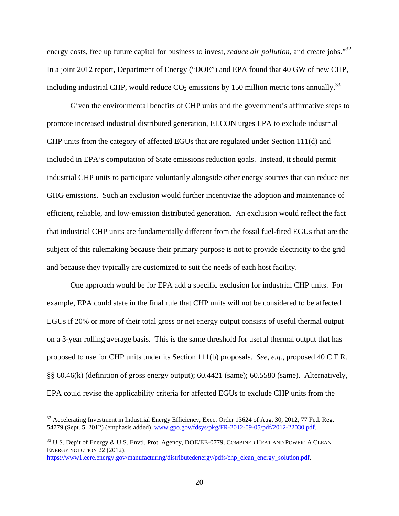energy costs, free up future capital for business to invest, *reduce air pollution*, and create jobs."32 In a joint 2012 report, Department of Energy ("DOE") and EPA found that 40 GW of new CHP, including industrial CHP, would reduce  $CO_2$  emissions by 150 million metric tons annually.<sup>33</sup>

Given the environmental benefits of CHP units and the government's affirmative steps to promote increased industrial distributed generation, ELCON urges EPA to exclude industrial CHP units from the category of affected EGUs that are regulated under Section 111(d) and included in EPA's computation of State emissions reduction goals. Instead, it should permit industrial CHP units to participate voluntarily alongside other energy sources that can reduce net GHG emissions. Such an exclusion would further incentivize the adoption and maintenance of efficient, reliable, and low-emission distributed generation. An exclusion would reflect the fact that industrial CHP units are fundamentally different from the fossil fuel-fired EGUs that are the subject of this rulemaking because their primary purpose is not to provide electricity to the grid and because they typically are customized to suit the needs of each host facility.

One approach would be for EPA add a specific exclusion for industrial CHP units. For example, EPA could state in the final rule that CHP units will not be considered to be affected EGUs if 20% or more of their total gross or net energy output consists of useful thermal output on a 3-year rolling average basis. This is the same threshold for useful thermal output that has proposed to use for CHP units under its Section 111(b) proposals. *See, e.g.*, proposed 40 C.F.R. §§ 60.46(k) (definition of gross energy output); 60.4421 (same); 60.5580 (same). Alternatively, EPA could revise the applicability criteria for affected EGUs to exclude CHP units from the

<sup>&</sup>lt;sup>32</sup> Accelerating Investment in Industrial Energy Efficiency, Exec. Order 13624 of Aug. 30, 2012, 77 Fed. Reg. 54779 (Sept. 5, 2012) (emphasis added), www.gpo.gov/fdsys/pkg/FR-2012-09-05/pdf/2012-22030.pdf.

<sup>&</sup>lt;sup>33</sup> U.S. Dep't of Energy & U.S. Envtl. Prot. Agency, DOE/EE-0779, COMBINED HEAT AND POWER: A CLEAN ENERGY SOLUTION 22 (2012), https://www1.eere.energy.gov/manufacturing/distributedenergy/pdfs/chp\_clean\_energy\_solution.pdf.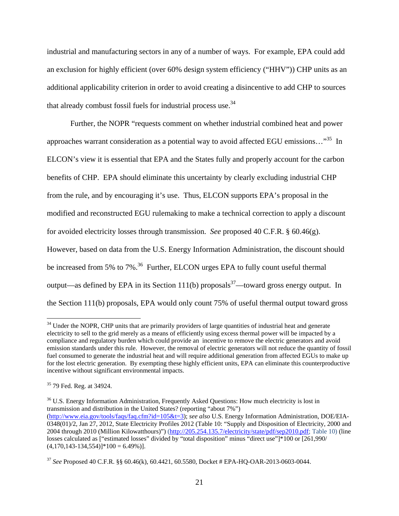industrial and manufacturing sectors in any of a number of ways. For example, EPA could add an exclusion for highly efficient (over 60% design system efficiency ("HHV")) CHP units as an additional applicability criterion in order to avoid creating a disincentive to add CHP to sources that already combust fossil fuels for industrial process use.34

Further, the NOPR "requests comment on whether industrial combined heat and power approaches warrant consideration as a potential way to avoid affected EGU emissions…"35 In ELCON's view it is essential that EPA and the States fully and properly account for the carbon benefits of CHP. EPA should eliminate this uncertainty by clearly excluding industrial CHP from the rule, and by encouraging it's use. Thus, ELCON supports EPA's proposal in the modified and reconstructed EGU rulemaking to make a technical correction to apply a discount for avoided electricity losses through transmission. *See* proposed 40 C.F.R. § 60.46(g). However, based on data from the U.S. Energy Information Administration, the discount should be increased from 5% to 7%.<sup>36</sup> Further, ELCON urges EPA to fully count useful thermal output—as defined by EPA in its Section 111(b) proposals<sup>37</sup>—toward gross energy output. In the Section 111(b) proposals, EPA would only count 75% of useful thermal output toward gross

<sup>&</sup>lt;sup>34</sup> Under the NOPR, CHP units that are primarily providers of large quantities of industrial heat and generate electricity to sell to the grid merely as a means of efficiently using excess thermal power will be impacted by a compliance and regulatory burden which could provide an incentive to remove the electric generators and avoid emission standards under this rule. However, the removal of electric generators will not reduce the quantity of fossil fuel consumed to generate the industrial heat and will require additional generation from affected EGUs to make up for the lost electric generation. By exempting these highly efficient units, EPA can eliminate this counterproductive incentive without significant environmental impacts.

<sup>35 79</sup> Fed. Reg. at 34924.

<sup>&</sup>lt;sup>36</sup> U.S. Energy Information Administration, Frequently Asked Questions: How much electricity is lost in transmission and distribution in the United States? (reporting "about 7%") (http://www.eia.gov/tools/faqs/faq.cfm?id=105&t=3); *see also* U.S. Energy Information Administration, DOE/EIA-0348(01)/2, Jan 27, 2012, State Electricity Profiles 2012 (Table 10: "Supply and Disposition of Electricity, 2000 and 2004 through 2010 (Million Kilowatthours)") (http://205.254.135.7/electricity/state/pdf/sep2010.pdf; Table 10) (line losses calculated as ["estimated losses" divided by "total disposition" minus "direct use"]\*100 or [261,990/  $(4,170,143-134,554)$ <sup>\*</sup> $100 = 6.49%$ ).

<sup>37</sup> *See* Proposed 40 C.F.R. §§ 60.46(k), 60.4421, 60.5580, Docket # EPA-HQ-OAR-2013-0603-0044.